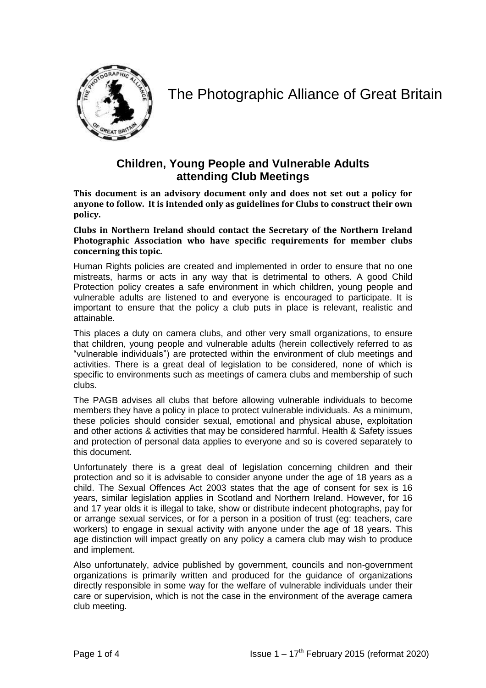

## The Photographic Alliance of Great Britain

## **Children, Young People and Vulnerable Adults attending Club Meetings**

**This document is an advisory document only and does not set out a policy for anyone to follow. It is intended only as guidelines for Clubs to construct their own policy.**

**Clubs in Northern Ireland should contact the Secretary of the Northern Ireland Photographic Association who have specific requirements for member clubs concerning this topic.** 

Human Rights policies are created and implemented in order to ensure that no one mistreats, harms or acts in any way that is detrimental to others. A good Child Protection policy creates a safe environment in which children, young people and vulnerable adults are listened to and everyone is encouraged to participate. It is important to ensure that the policy a club puts in place is relevant, realistic and attainable.

This places a duty on camera clubs, and other very small organizations, to ensure that children, young people and vulnerable adults (herein collectively referred to as "vulnerable individuals") are protected within the environment of club meetings and activities. There is a great deal of legislation to be considered, none of which is specific to environments such as meetings of camera clubs and membership of such clubs.

The PAGB advises all clubs that before allowing vulnerable individuals to become members they have a policy in place to protect vulnerable individuals. As a minimum, these policies should consider sexual, emotional and physical abuse, exploitation and other actions & activities that may be considered harmful. Health & Safety issues and protection of personal data applies to everyone and so is covered separately to this document.

Unfortunately there is a great deal of legislation concerning children and their protection and so it is advisable to consider anyone under the age of 18 years as a child. The Sexual Offences Act 2003 states that the age of consent for sex is 16 years, similar legislation applies in Scotland and Northern Ireland. However, for 16 and 17 year olds it is illegal to take, show or distribute indecent photographs, pay for or arrange sexual services, or for a person in a position of trust (eg: teachers, care workers) to engage in sexual activity with anyone under the age of 18 years. This age distinction will impact greatly on any policy a camera club may wish to produce and implement.

Also unfortunately, advice published by government, councils and non-government organizations is primarily written and produced for the guidance of organizations directly responsible in some way for the welfare of vulnerable individuals under their care or supervision, which is not the case in the environment of the average camera club meeting.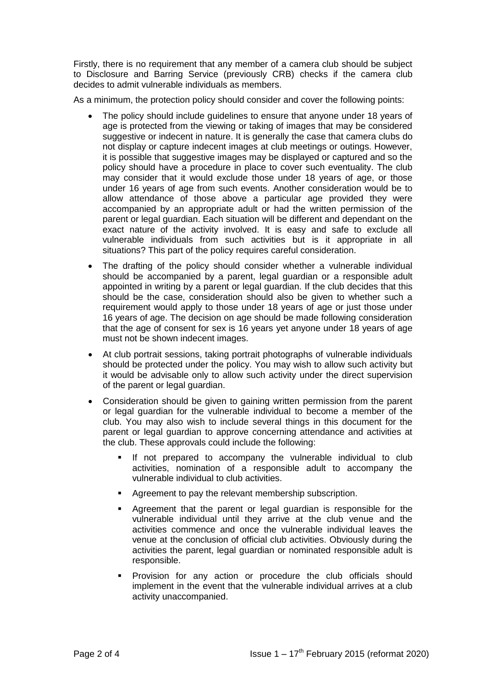Firstly, there is no requirement that any member of a camera club should be subject to Disclosure and Barring Service (previously CRB) checks if the camera club decides to admit vulnerable individuals as members.

As a minimum, the protection policy should consider and cover the following points:

- The policy should include guidelines to ensure that anyone under 18 years of age is protected from the viewing or taking of images that may be considered suggestive or indecent in nature. It is generally the case that camera clubs do not display or capture indecent images at club meetings or outings. However, it is possible that suggestive images may be displayed or captured and so the policy should have a procedure in place to cover such eventuality. The club may consider that it would exclude those under 18 years of age, or those under 16 years of age from such events. Another consideration would be to allow attendance of those above a particular age provided they were accompanied by an appropriate adult or had the written permission of the parent or legal guardian. Each situation will be different and dependant on the exact nature of the activity involved. It is easy and safe to exclude all vulnerable individuals from such activities but is it appropriate in all situations? This part of the policy requires careful consideration.
- The drafting of the policy should consider whether a vulnerable individual should be accompanied by a parent, legal guardian or a responsible adult appointed in writing by a parent or legal guardian. If the club decides that this should be the case, consideration should also be given to whether such a requirement would apply to those under 18 years of age or just those under 16 years of age. The decision on age should be made following consideration that the age of consent for sex is 16 years yet anyone under 18 years of age must not be shown indecent images.
- At club portrait sessions, taking portrait photographs of vulnerable individuals should be protected under the policy. You may wish to allow such activity but it would be advisable only to allow such activity under the direct supervision of the parent or legal guardian.
- Consideration should be given to gaining written permission from the parent or legal guardian for the vulnerable individual to become a member of the club. You may also wish to include several things in this document for the parent or legal guardian to approve concerning attendance and activities at the club. These approvals could include the following:
	- If not prepared to accompany the vulnerable individual to club activities, nomination of a responsible adult to accompany the vulnerable individual to club activities.
	- **Agreement to pay the relevant membership subscription.**
	- Agreement that the parent or legal guardian is responsible for the vulnerable individual until they arrive at the club venue and the activities commence and once the vulnerable individual leaves the venue at the conclusion of official club activities. Obviously during the activities the parent, legal guardian or nominated responsible adult is responsible.
	- Provision for any action or procedure the club officials should implement in the event that the vulnerable individual arrives at a club activity unaccompanied.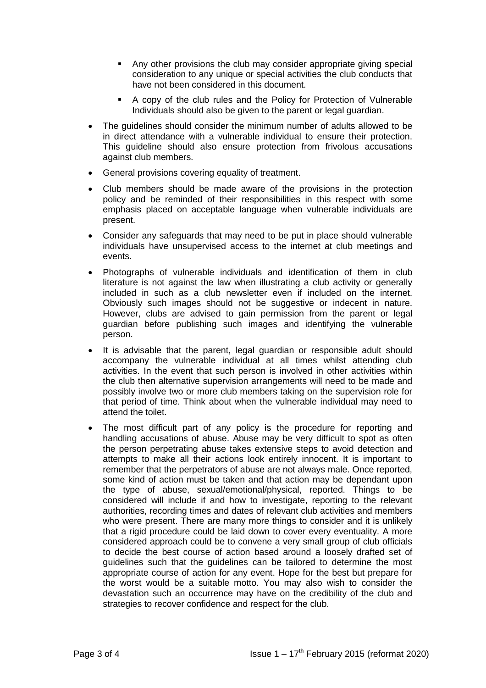- Any other provisions the club may consider appropriate giving special consideration to any unique or special activities the club conducts that have not been considered in this document.
- A copy of the club rules and the Policy for Protection of Vulnerable Individuals should also be given to the parent or legal guardian.
- The guidelines should consider the minimum number of adults allowed to be in direct attendance with a vulnerable individual to ensure their protection. This guideline should also ensure protection from frivolous accusations against club members.
- General provisions covering equality of treatment.
- Club members should be made aware of the provisions in the protection policy and be reminded of their responsibilities in this respect with some emphasis placed on acceptable language when vulnerable individuals are present.
- Consider any safeguards that may need to be put in place should vulnerable individuals have unsupervised access to the internet at club meetings and events.
- Photographs of vulnerable individuals and identification of them in club literature is not against the law when illustrating a club activity or generally included in such as a club newsletter even if included on the internet. Obviously such images should not be suggestive or indecent in nature. However, clubs are advised to gain permission from the parent or legal guardian before publishing such images and identifying the vulnerable person.
- It is advisable that the parent, legal guardian or responsible adult should accompany the vulnerable individual at all times whilst attending club activities. In the event that such person is involved in other activities within the club then alternative supervision arrangements will need to be made and possibly involve two or more club members taking on the supervision role for that period of time. Think about when the vulnerable individual may need to attend the toilet.
- The most difficult part of any policy is the procedure for reporting and handling accusations of abuse. Abuse may be very difficult to spot as often the person perpetrating abuse takes extensive steps to avoid detection and attempts to make all their actions look entirely innocent. It is important to remember that the perpetrators of abuse are not always male. Once reported, some kind of action must be taken and that action may be dependant upon the type of abuse, sexual/emotional/physical, reported. Things to be considered will include if and how to investigate, reporting to the relevant authorities, recording times and dates of relevant club activities and members who were present. There are many more things to consider and it is unlikely that a rigid procedure could be laid down to cover every eventuality. A more considered approach could be to convene a very small group of club officials to decide the best course of action based around a loosely drafted set of guidelines such that the guidelines can be tailored to determine the most appropriate course of action for any event. Hope for the best but prepare for the worst would be a suitable motto. You may also wish to consider the devastation such an occurrence may have on the credibility of the club and strategies to recover confidence and respect for the club.